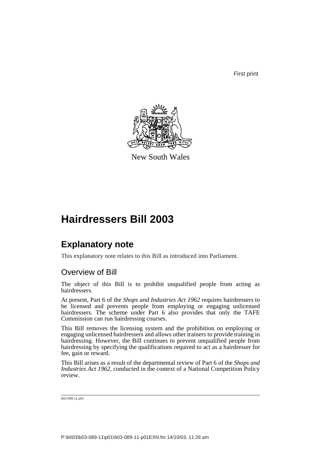First print



New South Wales

# **Hairdressers Bill 2003**

# **Explanatory note**

This explanatory note relates to this Bill as introduced into Parliament.

## Overview of Bill

The object of this Bill is to prohibit unqualified people from acting as hairdressers.

At present, Part 6 of the *Shops and Industries Act 1962* requires hairdressers to be licensed and prevents people from employing or engaging unlicensed hairdressers. The scheme under Part 6 also provides that only the TAFE Commission can run hairdressing courses.

This Bill removes the licensing system and the prohibition on employing or engaging unlicensed hairdressers and allows other trainers to provide training in hairdressing. However, the Bill continues to prevent unqualified people from hairdressing by specifying the qualifications required to act as a hairdresser for fee, gain or reward.

This Bill arises as a result of the departmental review of Part 6 of the *Shops and Industries Act 1962*, conducted in the context of a National Competition Policy review.

```
b03-089-11.p01
```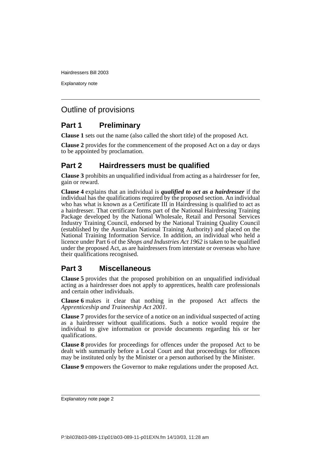Explanatory note

### Outline of provisions

### **Part 1 Preliminary**

**Clause 1** sets out the name (also called the short title) of the proposed Act.

**Clause 2** provides for the commencement of the proposed Act on a day or days to be appointed by proclamation.

### **Part 2 Hairdressers must be qualified**

**Clause 3** prohibits an unqualified individual from acting as a hairdresser for fee, gain or reward.

**Clause 4** explains that an individual is *qualified to act as a hairdresser* if the individual has the qualifications required by the proposed section. An individual who has what is known as a Certificate III in Hairdressing is qualified to act as a hairdresser. That certificate forms part of the National Hairdressing Training Package developed by the National Wholesale, Retail and Personal Services Industry Training Council, endorsed by the National Training Quality Council (established by the Australian National Training Authority) and placed on the National Training Information Service. In addition, an individual who held a licence under Part 6 of the *Shops and Industries Act 1962* is taken to be qualified under the proposed Act, as are hairdressers from interstate or overseas who have their qualifications recognised.

### **Part 3 Miscellaneous**

**Clause 5** provides that the proposed prohibition on an unqualified individual acting as a hairdresser does not apply to apprentices, health care professionals and certain other individuals.

**Clause 6** makes it clear that nothing in the proposed Act affects the *Apprenticeship and Traineeship Act 2001*.

**Clause 7** provides for the service of a notice on an individual suspected of acting as a hairdresser without qualifications. Such a notice would require the individual to give information or provide documents regarding his or her qualifications.

**Clause 8** provides for proceedings for offences under the proposed Act to be dealt with summarily before a Local Court and that proceedings for offences may be instituted only by the Minister or a person authorised by the Minister.

**Clause 9** empowers the Governor to make regulations under the proposed Act.

Explanatory note page 2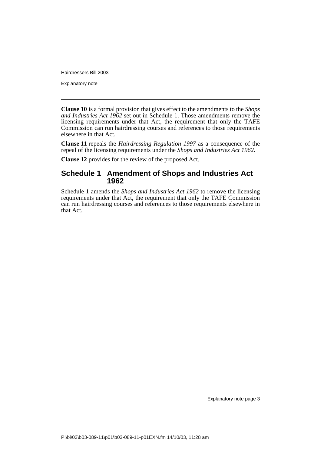Explanatory note

**Clause 10** is a formal provision that gives effect to the amendments to the *Shops and Industries Act 1962* set out in Schedule 1. Those amendments remove the licensing requirements under that Act, the requirement that only the TAFE Commission can run hairdressing courses and references to those requirements elsewhere in that Act.

**Clause 11** repeals the *Hairdressing Regulation 1997* as a consequence of the repeal of the licensing requirements under the *Shops and Industries Act 1962*.

**Clause 12** provides for the review of the proposed Act.

#### **Schedule 1 Amendment of Shops and Industries Act 1962**

Schedule 1 amends the *Shops and Industries Act 1962* to remove the licensing requirements under that Act, the requirement that only the TAFE Commission can run hairdressing courses and references to those requirements elsewhere in that Act.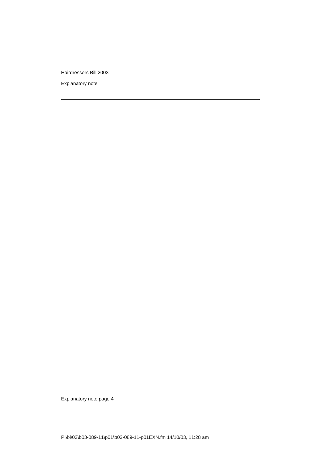Explanatory note

Explanatory note page 4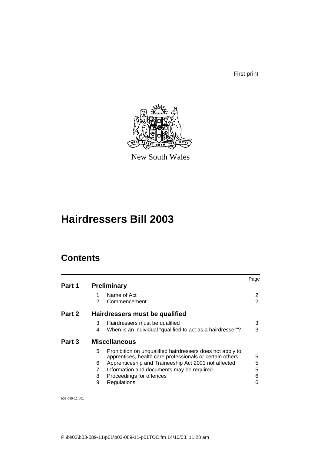First print



New South Wales

# **Hairdressers Bill 2003**

# **Contents**

|        |                                                                                                                            | Page |
|--------|----------------------------------------------------------------------------------------------------------------------------|------|
| Part 1 | <b>Preliminary</b>                                                                                                         |      |
|        | Name of Act<br>1                                                                                                           | 2    |
|        | 2<br>Commencement                                                                                                          | 2    |
| Part 2 | Hairdressers must be qualified                                                                                             |      |
|        | 3<br>Hairdressers must be qualified                                                                                        | 3    |
|        | When is an individual "qualified to act as a hairdresser"?<br>4                                                            | 3    |
| Part 3 | <b>Miscellaneous</b>                                                                                                       |      |
|        | 5<br>Prohibition on unqualified hairdressers does not apply to<br>apprentices, health care professionals or certain others | 5    |
|        | Apprenticeship and Traineeship Act 2001 not affected<br>6                                                                  | 5    |
|        | Information and documents may be required<br>7                                                                             | 5    |
|        | Proceedings for offences<br>8                                                                                              | 6    |
|        | 9<br>Regulations                                                                                                           | 6    |
|        |                                                                                                                            |      |

b03-089-11.p01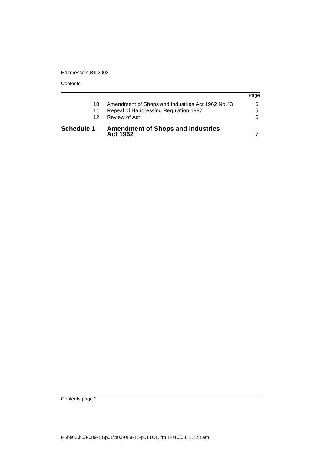**Contents** 

| <b>Schedule 1</b> | <b>Amendment of Shops and Industries</b><br>Act 1962 |      |
|-------------------|------------------------------------------------------|------|
| 12 <sup>1</sup>   | Review of Act                                        | 6    |
| 11                | Repeal of Hairdressing Regulation 1997               | 6    |
| 10                | Amendment of Shops and Industries Act 1962 No 43     | 6    |
|                   |                                                      | Page |

Contents page 2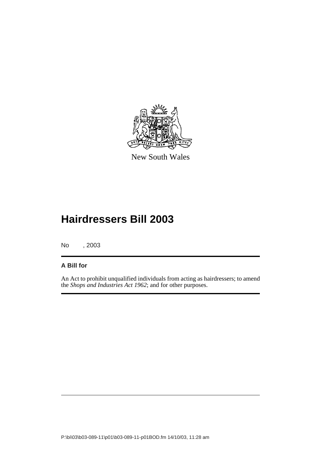

New South Wales

# **Hairdressers Bill 2003**

No , 2003

### **A Bill for**

An Act to prohibit unqualified individuals from acting as hairdressers; to amend the *Shops and Industries Act 1962*; and for other purposes.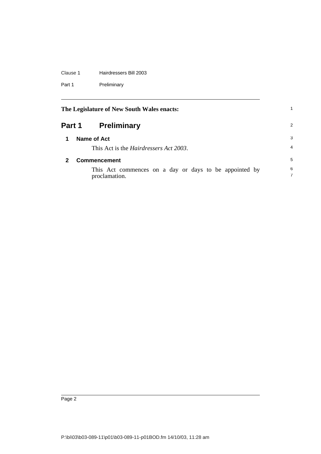#### Clause 1 Hairdressers Bill 2003

Part 1 Preliminary

<span id="page-7-2"></span><span id="page-7-1"></span><span id="page-7-0"></span>

|        | The Legislature of New South Wales enacts:                              |                     |  |
|--------|-------------------------------------------------------------------------|---------------------|--|
| Part 1 | <b>Preliminary</b>                                                      | 2                   |  |
| 1      | Name of Act                                                             |                     |  |
|        | This Act is the <i>Hairdressers Act 2003</i> .                          | 4                   |  |
|        | <b>Commencement</b>                                                     | 5                   |  |
|        | This Act commences on a day or days to be appointed by<br>proclamation. | 6<br>$\overline{7}$ |  |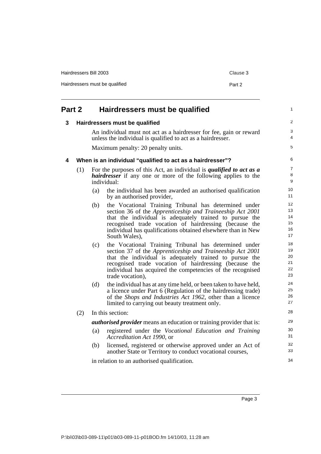<span id="page-8-2"></span><span id="page-8-1"></span><span id="page-8-0"></span>

| Part 2 |     | Hairdressers must be qualified                                                                                                                                                                                                                                                                                            |
|--------|-----|---------------------------------------------------------------------------------------------------------------------------------------------------------------------------------------------------------------------------------------------------------------------------------------------------------------------------|
| 3      |     | Hairdressers must be qualified                                                                                                                                                                                                                                                                                            |
|        |     | An individual must not act as a hairdresser for fee, gain or reward<br>unless the individual is qualified to act as a hairdresser.                                                                                                                                                                                        |
|        |     | Maximum penalty: 20 penalty units.                                                                                                                                                                                                                                                                                        |
| 4      |     | When is an individual "qualified to act as a hairdresser"?                                                                                                                                                                                                                                                                |
|        | (1) | For the purposes of this Act, an individual is <i>qualified to act as a</i><br><i>hairdresser</i> if any one or more of the following applies to the<br>individual:                                                                                                                                                       |
|        | (a) | the individual has been awarded an authorised qualification<br>by an authorised provider,                                                                                                                                                                                                                                 |
|        | (b) | the Vocational Training Tribunal has determined under<br>section 36 of the Apprenticeship and Traineeship Act 2001<br>that the individual is adequately trained to pursue the<br>recognised trade vocation of hairdressing (because the<br>individual has qualifications obtained elsewhere than in New<br>South Wales),  |
|        | (c) | the Vocational Training Tribunal has determined under<br>section 37 of the Apprenticeship and Traineeship Act 2001<br>that the individual is adequately trained to pursue the<br>recognised trade vocation of hairdressing (because the<br>individual has acquired the competencies of the recognised<br>trade vocation), |
|        | (d) | the individual has at any time held, or been taken to have held,<br>a licence under Part 6 (Regulation of the hairdressing trade)<br>of the <i>Shops and Industries Act 1962</i> , other than a licence<br>limited to carrying out beauty treatment only.                                                                 |
|        | (2) | In this section:                                                                                                                                                                                                                                                                                                          |
|        |     | <i>authorised provider</i> means an education or training provider that is:                                                                                                                                                                                                                                               |
|        | (a) | registered under the Vocational Education and Training<br>Accreditation Act 1990, or                                                                                                                                                                                                                                      |
|        | (b) | licensed, registered or otherwise approved under an Act of<br>another State or Territory to conduct vocational courses,                                                                                                                                                                                                   |
|        |     | in relation to an authorised qualification.                                                                                                                                                                                                                                                                               |

Hairdressers Bill 2003 Clause 3

Hairdressers must be qualified Part 2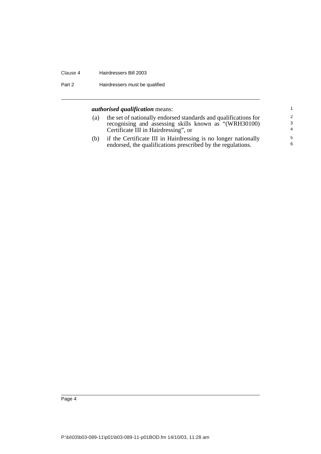#### Clause 4 Hairdressers Bill 2003

Part 2 **Hairdressers must be qualified** 

### *authorised qualification* means:

| (a) | the set of nationally endorsed standards and qualifications for | $\mathcal{P}$  |
|-----|-----------------------------------------------------------------|----------------|
|     | recognising and assessing skills known as "(WRH30100)           | 3              |
|     | Certificate III in Hairdressing", or                            | $\overline{4}$ |
| (b) | if the Certificate III in Hairdressing is no longer nationally  | -5             |
|     | endorsed, the qualifications prescribed by the regulations.     | 6              |

1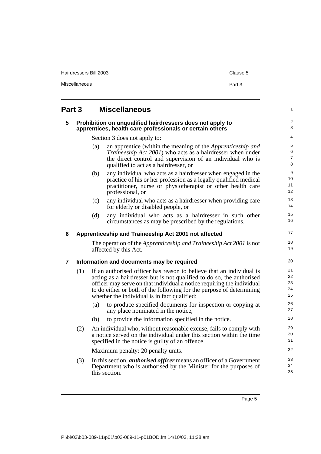Hairdressers Bill 2003 Clause 5

Miscellaneous

| нг |  |
|----|--|
|    |  |

#### <span id="page-10-3"></span><span id="page-10-2"></span><span id="page-10-1"></span><span id="page-10-0"></span>**Part 3 Miscellaneous 5 Prohibition on unqualified hairdressers does not apply to apprentices, health care professionals or certain others** Section 3 does not apply to: (a) an apprentice (within the meaning of the *Apprenticeship and Traineeship Act 2001*) who acts as a hairdresser when under the direct control and supervision of an individual who is qualified to act as a hairdresser, or (b) any individual who acts as a hairdresser when engaged in the practice of his or her profession as a legally qualified medical practitioner, nurse or physiotherapist or other health care professional, or (c) any individual who acts as a hairdresser when providing care for elderly or disabled people, or (d) any individual who acts as a hairdresser in such other circumstances as may be prescribed by the regulations. **6 Apprenticeship and Traineeship Act 2001 not affected** The operation of the *Apprenticeship and Traineeship Act 2001* is not affected by this Act. **7 Information and documents may be required** (1) If an authorised officer has reason to believe that an individual is acting as a hairdresser but is not qualified to do so, the authorised officer may serve on that individual a notice requiring the individual to do either or both of the following for the purpose of determining whether the individual is in fact qualified: (a) to produce specified documents for inspection or copying at any place nominated in the notice, (b) to provide the information specified in the notice. (2) An individual who, without reasonable excuse, fails to comply with a notice served on the individual under this section within the time specified in the notice is guilty of an offence. Maximum penalty: 20 penalty units. (3) In this section, *authorised officer* means an officer of a Government Department who is authorised by the Minister for the purposes of this section. 1  $\mathcal{L}$ 3 4 5 6 7 8 9 10 11 12 13 14 15 16 17 18 19 20 21 22 23 24 25 26 27 28 29 30 31 32 33 34 35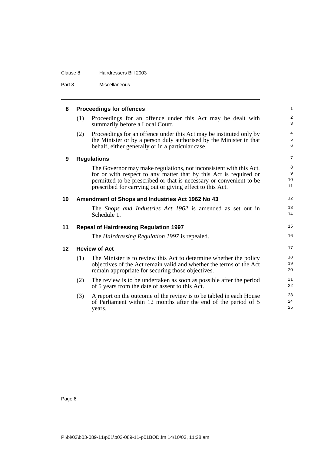#### Clause 8 Hairdressers Bill 2003

Part 3 Miscellaneous

<span id="page-11-4"></span><span id="page-11-3"></span><span id="page-11-2"></span><span id="page-11-1"></span><span id="page-11-0"></span>

| 8                                       |                                                         | <b>Proceedings for offences</b>                                                                                                                                                                                                                                             | $\mathbf{1}$             |
|-----------------------------------------|---------------------------------------------------------|-----------------------------------------------------------------------------------------------------------------------------------------------------------------------------------------------------------------------------------------------------------------------------|--------------------------|
|                                         | (1)                                                     | Proceedings for an offence under this Act may be dealt with<br>summarily before a Local Court.                                                                                                                                                                              | $\overline{2}$<br>3      |
|                                         | (2)                                                     | Proceedings for an offence under this Act may be instituted only by<br>the Minister or by a person duly authorised by the Minister in that<br>behalf, either generally or in a particular case.                                                                             | $\overline{4}$<br>5<br>6 |
| 9                                       |                                                         | <b>Regulations</b>                                                                                                                                                                                                                                                          | $\overline{7}$           |
|                                         |                                                         | The Governor may make regulations, not inconsistent with this Act,<br>for or with respect to any matter that by this Act is required or<br>permitted to be prescribed or that is necessary or convenient to be<br>prescribed for carrying out or giving effect to this Act. | 8<br>9<br>10<br>11       |
| 10                                      | <b>Amendment of Shops and Industries Act 1962 No 43</b> |                                                                                                                                                                                                                                                                             | 12                       |
|                                         |                                                         | The <i>Shops and Industries Act 1962</i> is amended as set out in<br>Schedule 1.                                                                                                                                                                                            | 13<br>14                 |
| 11                                      |                                                         | <b>Repeal of Hairdressing Regulation 1997</b>                                                                                                                                                                                                                               | 15                       |
|                                         |                                                         | The <i>Hairdressing Regulation 1997</i> is repealed.                                                                                                                                                                                                                        | 16                       |
| 12 <sub>2</sub><br><b>Review of Act</b> |                                                         |                                                                                                                                                                                                                                                                             | 17                       |
|                                         | (1)                                                     | The Minister is to review this Act to determine whether the policy<br>objectives of the Act remain valid and whether the terms of the Act<br>remain appropriate for securing those objectives.                                                                              | 18<br>19<br>20           |
|                                         | (2)                                                     | The review is to be undertaken as soon as possible after the period<br>of 5 years from the date of assent to this Act.                                                                                                                                                      | 21<br>22                 |
|                                         | (3)                                                     | A report on the outcome of the review is to be tabled in each House<br>of Parliament within 12 months after the end of the period of 5<br>years.                                                                                                                            | 23<br>24<br>25           |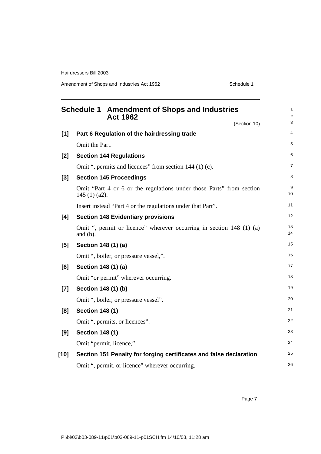Amendment of Shops and Industries Act 1962 **Schedule 1** Schedule 1

<span id="page-12-0"></span>

| Schedule 1 Amendment of Shops and Industries<br><b>Act 1962</b> |                        | $\mathbf{1}$<br>$\overline{2}$                                       |          |
|-----------------------------------------------------------------|------------------------|----------------------------------------------------------------------|----------|
|                                                                 |                        | (Section 10)                                                         | 3        |
| $[1]$                                                           |                        | Part 6 Regulation of the hairdressing trade                          | 4        |
|                                                                 | Omit the Part.         |                                                                      | 5        |
| [2]                                                             |                        | <b>Section 144 Regulations</b>                                       | 6        |
|                                                                 |                        | Omit ", permits and licences" from section 144 (1) (c).              | 7        |
| $[3]$                                                           |                        | <b>Section 145 Proceedings</b>                                       | 8        |
|                                                                 | $145(1)(a2)$ .         | Omit "Part 4 or 6 or the regulations under those Parts" from section | 9<br>10  |
|                                                                 |                        | Insert instead "Part 4 or the regulations under that Part".          | 11       |
| [4]                                                             |                        | <b>Section 148 Evidentiary provisions</b>                            | 12       |
|                                                                 | and $(b)$ .            | Omit ", permit or licence" wherever occurring in section 148 (1) (a) | 13<br>14 |
| [5]                                                             | Section 148 (1) (a)    |                                                                      | 15       |
|                                                                 |                        | Omit ", boiler, or pressure vessel,".                                | 16       |
| [6]                                                             | Section 148 (1) (a)    |                                                                      | 17       |
|                                                                 |                        | Omit "or permit" wherever occurring.                                 | 18       |
| $[7]$                                                           | Section 148 (1) (b)    |                                                                      | 19       |
|                                                                 |                        | Omit ", boiler, or pressure vessel".                                 | 20       |
| [8]                                                             | <b>Section 148 (1)</b> |                                                                      | 21       |
|                                                                 |                        | Omit ", permits, or licences".                                       | 22       |
| [9]                                                             | <b>Section 148 (1)</b> |                                                                      | 23       |
|                                                                 |                        | Omit "permit, licence,".                                             | 24       |
| [10]                                                            |                        | Section 151 Penalty for forging certificates and false declaration   | 25       |
|                                                                 |                        | Omit ", permit, or licence" wherever occurring.                      | 26       |